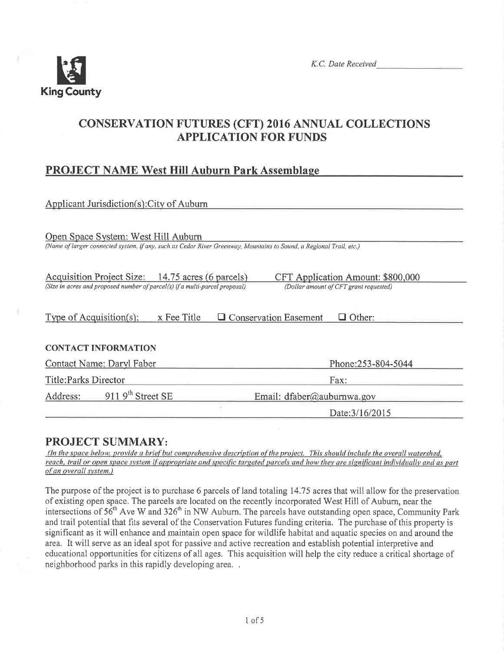

# **CONSERVATION FUTURES (CFT) 2016 ANNUAL COLLECTIONS APPLICATION FOR FUNDS**

## **PROJECT NAME West Hill Auburn Park Assemblage**

| Applicant Jurisdiction(s): City of Auburn                                                                                                                                                                       |                            |  |  |  |
|-----------------------------------------------------------------------------------------------------------------------------------------------------------------------------------------------------------------|----------------------------|--|--|--|
| Open Space System: West Hill Auburn<br>(Name of larger connected system, if any, such as Cedar River Greenway, Mountains to Sound, a Regional Trail, etc.)                                                      |                            |  |  |  |
| Acquisition Project Size: 14.75 acres (6 parcels)<br>CFT Application Amount: \$800,000<br>(Size in acres and proposed number of parcel(s) if a multi-parcel proposal)<br>(Dollar amount of CFT grant requested) |                            |  |  |  |
| $\Box$ Conservation Easement<br>Type of Acquisition(s):<br>x Fee Title<br>$\Box$ Other:                                                                                                                         |                            |  |  |  |
| <b>CONTACT INFORMATION</b>                                                                                                                                                                                      |                            |  |  |  |
| Contact Name: Daryl Faber                                                                                                                                                                                       | Phone:253-804-5044         |  |  |  |
| Title: Parks Director                                                                                                                                                                                           | Fax:                       |  |  |  |
| 911 $9th$ Street SE<br>Address:                                                                                                                                                                                 | Email: dfaber@auburnwa.gov |  |  |  |
|                                                                                                                                                                                                                 | Date: 3/16/2015            |  |  |  |

## **PROJECT SUMMARY:**

(In the space below, provide a brief but comprehensive description of the project. This should include the overall watershed, reach, trail or open space system if appropriate and specific targeted parcels and how they are significant individually and as part of an overall system.)

The purpose of the project is to purchase 6 parcels of land totaling 14.75 acres that will allow for the preservation of existing open space. The parcels are located on the recently incorporated West Hill of Auburn, near the intersections of 56<sup>th</sup> Ave W and 326<sup>th</sup> in NW Auburn. The parcels have outstanding open space, Community Park and trail potential that fits several of the Conservation Futures funding criteria. The purchase of this property is significant as it will enhance and maintain open space for wildlife habitat and aquatic species on and around the area. It will serve as an ideal spot for passive and active recreation and establish potential interpretive and educational opportunities for citizens of all ages. This acquisition will help the city reduce a critical shortage of neighborhood parks in this rapidly developing area...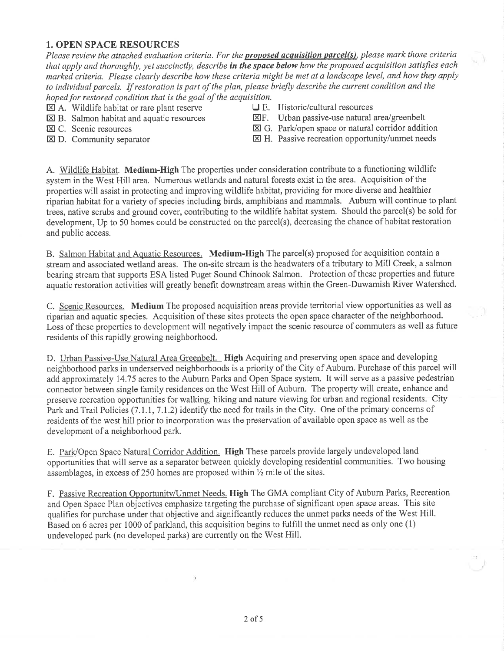### 1. OPEN SPACE RESOURCES

Please review the attached evaluation criteria. For the **proposed acquisition parcel(s)**, please mark those criteria that apply and thoroughly, yet succinctly, describe in the space below how the proposed acquisition satisfies each marked criteria. Please clearly describe how these criteria might be met at a landscape level, and how they apply to individual parcels. If restoration is part of the plan, please briefly describe the current condition and the hoped for restored condition that is the goal of the acquisition.<br>  $\boxed{\mathbf{X}}$  A. Wildlife habitat or rare plant reserve  $\boxed{\mathbf{X}}$  E. Historic/cultural resources

- $\boxtimes$  B. Salmon habitat and aquatic resources
- 
- $\boxtimes$  A. Wildlife habitat or rare plant reserve  $\Box$  E. Historic/cultural resources  $\boxtimes$  B. Salmon habitat and aquatic resources  $\boxtimes$  F. Urban passive-use natural area/greenbelt

- $\boxtimes$  C. Scenic resources  $\boxtimes$  G. Park/open space or natural corridor addition
- $\boxtimes$  D. Community separator  $\boxtimes$  H. Passive recreation opportunity/unmet needs

A. Wildlife Habitat, Medium-High The properties under consideration contribute to a functioning wildlife system in the West Hill area. Numerous wetlands and natural forests exist in the area. Acquisition of the properties will assist in protecting and improving wildlife habitat, providing for more diverse and healthier riparian habitat for a variety of species including birds, amphibians and mammals. Auburn will continue to plant trees, native scrubs and ground cover, contributing to the wildlife habitat system, Should the parcel(s) be sold for development, Up to 50 homes could be constructed on the parcel(s), decreasing the chance of habitat restoration and public access.

B. Salmon Habitat and Aquatic Resources. Medium-High The parcel(s) proposed for acquisition contain <sup>a</sup> stream and associated wetland areas. The on-site stream is the headwaters of a tributary to Mill Creek, a salmon bearing stream that supports ESA listed Puget Sound Chinook Salmon. Protection of these properties and future aquatic restoration activities will greatly benefit downstream areas within the Green-Duwamish River Watershed.

C. Scenic Resources. Medium The proposed acquisition areas provide territorial view opportunities as well as riparian and aquatic species. Acquisition of these sites protects the open space character of the neighborhood. Loss of these properties to development will negatively impact the scenic resource of commuters as well as future residents of this rapidly growing neighborhood.

D. Urban Passive-Use Natural Area Greenbelt. High Acquiring and preserving open space and developing neighborhood parks in underserved neighborhoods is a priority of the City of Aubum, Purchase of this parcel will add approximately 14.75 acres to the Auburn Parks and Open Space system. It will serve as a passive pedestrian connector between single family residences on the West Hill of Auburn. The property will create, enhance and preserve recreation opportunities for walking, hiking and nature viewing for urban and regional residents. City Park and Trail Policies (7.1.1, 7.1.2) identify the need for trails in the City. One of the primary concerns of residents of the west hill prior to incorporation was the preservation of available open space as well as the development of a neighborhood park.

E. Park/Open Space Natural Corridor Addition. High These parcels provide largely undeveloped land opportunities that will serye as a separator between quickly developing residential communities. Two housing assemblages, in excess of 250 homes are proposed within  $\frac{1}{2}$  mile of the sites.

F. Passive Recreation Opportunitv/Unmet Needs. High The GMA compliant City of Auburn Parks, Recreation and Open Space Plan objectives emphasize targeting the purchase of significant open space areas. This site qualifies for purchase under that objective and significantly reduces the unmet parks needs of the West Hill. Based on 6 acres per 1000 of parkland, this acquisition begins to fulfill the unmet need as only one  $(1)$ undeveloped park (no developed parks) are currently on the West Hill,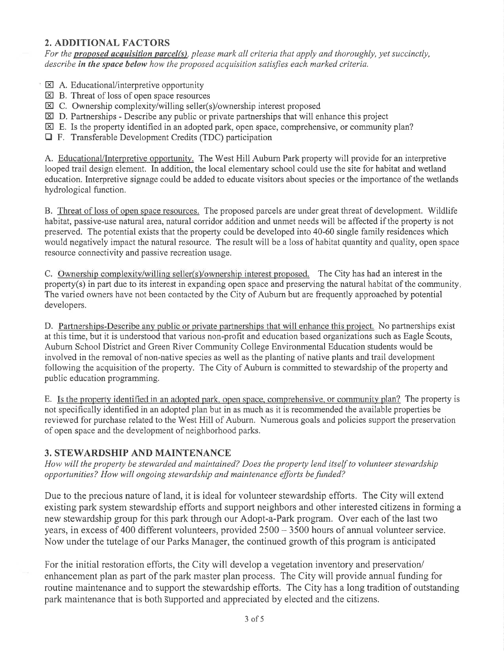## 2. ADDITIONAL FACTORS

For the **proposed acquisition parcel(s)**, please mark all criteria that apply and thoroughly, yet succinctly, describe in the space below how the proposed acquisition satisfies each marked criteria.

- $\boxtimes$  A. Educational/interpretive opportunity
- $\boxtimes$  B. Threat of loss of open space resources
- $\boxtimes$  C. Ownership complexity/willing seller(s)/ownership interest proposed
- $\boxtimes$  D. Partnerships Describe any public or private partnerships that will enhance this project
- $\boxtimes$  E. Is the property identified in an adopted park, open space, comprehensive, or community plan?
- E F. Transferable Development Credits (TDC) participation

A. Educational/Interpretive opportunity. The West Hill Auburn Park property will provide for an interpretive looped trail design element. In addition, the local elementary school could use the site for habitat and wetland education. Interpretive signage could be added to educate visitors about species or the importance of the wetlands hydrological function.

B. Threat of loss of open space resources. The proposed parcels are under great threat of development. Wildlife habitat, passive-use natural area, natural corridor addition and unmet needs will be affected if the property is not preserved. The potential exists that the property could be developed into 40-60 single family residences which would negatively impact the nalural resource. The result will be a loss of habitat quantity and quality, open space resource connectivity and passive recreation usage.

C. Ownership complexity/willing seller(s)/ownership interest proposed. The City has had an interest in the property(s) in part due to its interest in expanding open space and preserving the natural habitat of the community The varied owners have not been contacted by the City of Auburn but are frequently approached by potential developers.

D. Partnerships-Describe any public or private partnerships that will enhance this project. No partnerships exist at this time, but it is understood that various non-profit and education based organizations such as Eagle Scouts, Aubum School District and Green River Community College Environmental Education students would be involved in the removal of non-native species as well as the planting of native plants and trail development following the acquisition of the property. The City of Auburn is committed to stewardship of the property and public education programming.

E. Is the property identified in an adopted park, open space, comprehensive, or community plan? The property is not specifically identified in an adopted plan but in as much as it is recommended the available properties be reviewed for purchase related to the West Hill of Auburn. Numerous goals and policies support the preservation of open space and the development of neighborhood parks.

## 3. STEWARDSHIP AND MAINTENANCE

Hoyv will the property be stewarded and maintained? Does the property lend itself to volunteer stewardship opportunities? How will ongoing stewardship and maintenance efforts be funded?

Due to the precious nature of land, it is ideal for volunteer stewardship efforts. The City will extend existing park system stewardship efforts and support neighbors and other interested citizens in forming a new stewardship group for this park through our Adopt-a-Park program. Over each of the last two years, in excess of 400 different volunteers, provided  $2500 - 3500$  hours of annual volunteer service. Now under the tutelage of our Parks Manager, the continued growth of this program is anticipated

For the initial restoration efforts, the City will develop a vegetation inventory and preservation/ enhancement plan as part of the park master plan process. The City will provide annual funding for routine maintenance and to support the stewardship efforts. The City has a long tradition of outstanding park maintenance that is both Supported and appreciated by elected and the citizens.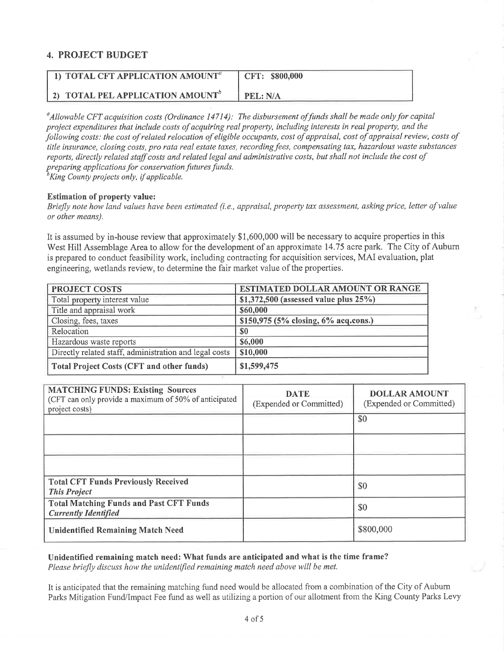### 4. PROJECT BUDGET

| 1) TOTAL CFT APPLICATION AMOUNT <sup>®</sup>        | CFT: \$800,000 |
|-----------------------------------------------------|----------------|
| <b>2) TOTAL PEL APPLICATION AMOUNT</b> <sup>b</sup> | PEL: N/A       |

 $^a$ Allowable CFT acquisition costs (Ordinance 14714): The disbursement of funds shall be made only for capital project expenditures that include costs of acquiring real property, including interests in real property, and the following costs: the cost of related relocation of eligible occupants, cost of appraisal, cost of appraisal review, costs of title insurance, closing costs, pro rata real estate taxes, recording fees, compensating tax, hazardous waste substances reports, directly related støff costs and related legal and administrative costs, but shall not include the cost of preparing applications for conservation futures funds.<br> ${}^b$ King County projects only, if applicable.

Estimation of property value:

Briefly note how land values have been estimated (i.e., appraisal, property tax assessment, asking price, letter of value or other means).

It is assumed by in-house review that approximately \$1,600,000 will be necessary to acquire properties in this West Hill Assemblage Area to allow for the development of an approximate 14.75 acre park. The City of Auburn is prepared to conduct feasibility work, including contracting for acquisition seryices, MAI evaluation, plat engineering, wetlands review, to determine the fair market value of the properties.

| <b>PROJECT COSTS</b>                                   | <b>ESTIMATED DOLLAR AMOUNT OR RANGE</b>   |  |  |
|--------------------------------------------------------|-------------------------------------------|--|--|
| Total property interest value                          | \$1,372,500 (assessed value plus $25\%$ ) |  |  |
| Title and appraisal work                               | \$60,000                                  |  |  |
| Closing, fees, taxes                                   | \$150,975 (5% closing, 6% acq.cons.)      |  |  |
| Relocation                                             | \$0                                       |  |  |
| Hazardous waste reports                                | \$6,000                                   |  |  |
| Directly related staff, administration and legal costs | \$10,000                                  |  |  |
| <b>Total Project Costs (CFT and other funds)</b>       | \$1,599,475                               |  |  |

| <b>MATCHING FUNDS: Existing Sources</b><br>(CFT can only provide a maximum of 50% of anticipated<br>project costs) | <b>DATE</b><br>(Expended or Committed) | <b>DOLLAR AMOUNT</b><br>(Expended or Committed) |
|--------------------------------------------------------------------------------------------------------------------|----------------------------------------|-------------------------------------------------|
|                                                                                                                    |                                        | \$0                                             |
|                                                                                                                    |                                        |                                                 |
|                                                                                                                    |                                        |                                                 |
| <b>Total CFT Funds Previously Received</b><br><b>This Project</b>                                                  |                                        | \$0                                             |
| <b>Total Matching Funds and Past CFT Funds</b><br><b>Currently Identified</b>                                      |                                        | \$0                                             |
| <b>Unidentified Remaining Match Need</b>                                                                           |                                        | \$800,000                                       |

Unidentified remaining match need: What funds are anticipated and what is the time frame? Please briefly discuss how the unidentified remaining match need above will be met.

It is anticipated that the remaining matching fund need would be allocated from a combination of the City of Auburn Parks Mitigation Fund/Impact Fee fund as well as utilizing a portion of our allotment from the King County Parks Levy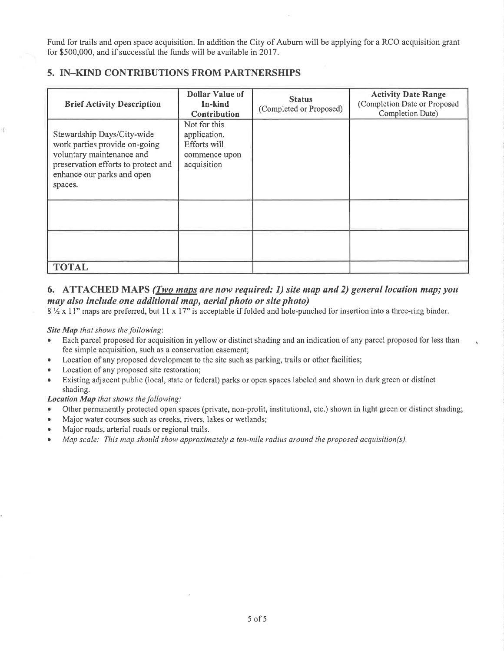Fund for trails and open space acquisition. In addition the City of Auburn will be applying for a RCO acquisition grant for \$500,000, and if successful the funds will be available in 2017.

| <b>Brief Activity Description</b>                                                                                                                                        | <b>Dollar Value of</b><br>In-kind<br>Contribution                            | <b>Status</b><br>(Completed or Proposed) | <b>Activity Date Range</b><br>(Completion Date or Proposed<br>Completion Date) |
|--------------------------------------------------------------------------------------------------------------------------------------------------------------------------|------------------------------------------------------------------------------|------------------------------------------|--------------------------------------------------------------------------------|
| Stewardship Days/City-wide<br>work parties provide on-going<br>voluntary maintenance and<br>preservation efforts to protect and<br>enhance our parks and open<br>spaces. | Not for this<br>application.<br>Efforts will<br>commence upon<br>acquisition |                                          |                                                                                |
|                                                                                                                                                                          |                                                                              |                                          |                                                                                |
|                                                                                                                                                                          |                                                                              |                                          |                                                                                |
| <b>TOTAL</b>                                                                                                                                                             |                                                                              |                                          |                                                                                |

### 5. IN\_KIND CONTRIBUTIONS FROM PARTNERSHIPS

#### 6. ATTACHED MAPS (Two maps are now required: 1) site map and 2) general location map; you may also include one additional map, aerial photo or site photo)

 $8\frac{1}{2} \times 11$ " maps are preferred, but 11 x 17" is acceptable if folded and hole-punched for insertion into a three-ring binder.

#### Site Map that shows the following:

- . Each parcel proposed for acquisition in yellow or distinct shading and an indication ofany parcel proposed for less than fee simple acquisition, such as a conservation easement;
- Location of any proposed development to the site such as parking, trails or other facilities;
- Location of any proposed site restoration;
- Existing adjacent public (local, state or federal) parks or open spaces labeled and shown in dark green or distinct shading.

Location Map that shows the following:

- Other permanently protected open spaces (private, non-profit, institutional, etc.) shown in light green or distinct shading;
- . Major water courses such as creeks, rivers, lakes or wetlands;
- . Major roads, arterial roads or regional trails.
- $\bullet$  Map scale: This map should show approximately a ten-mile radius around the proposed acquisition(s).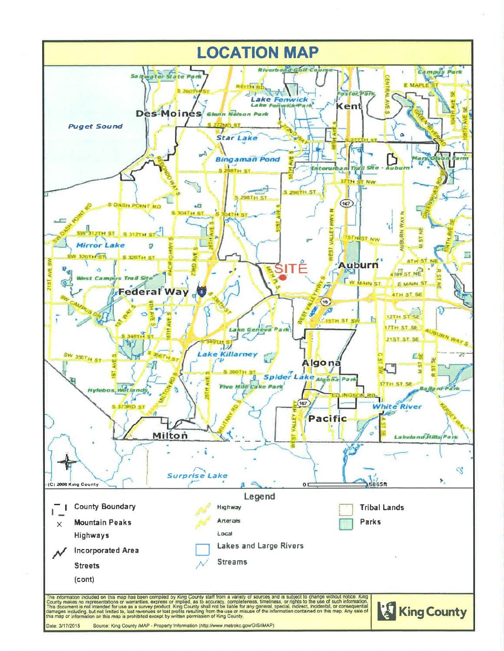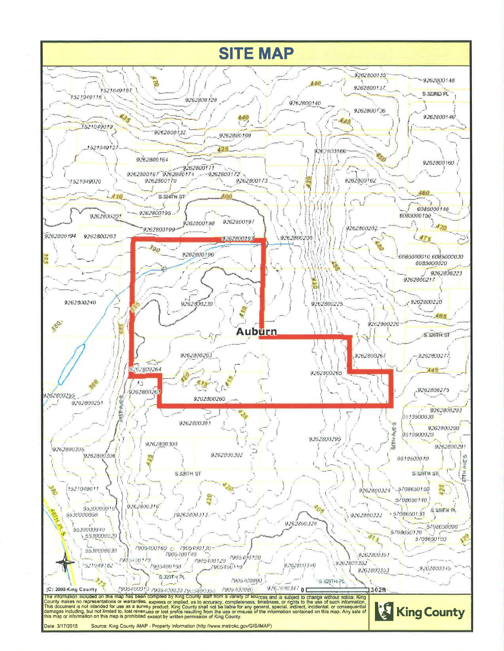